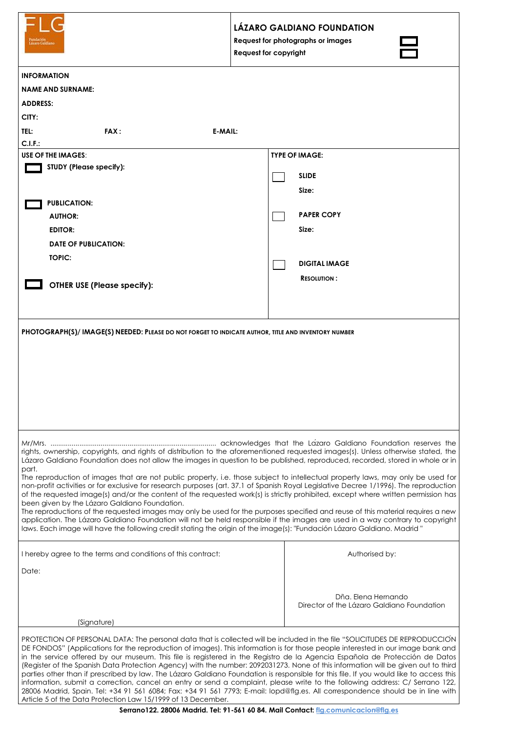|                                                                                                                                                                                                                                                                                                                                                                                                                                                                                                                                                                                                                                                                                                                                                                                                                                                                                                                                                                                                                 | LÁZARO GALDIANO FOUNDATION<br>Request for photographs or images<br><b>Request for copyright</b> |
|-----------------------------------------------------------------------------------------------------------------------------------------------------------------------------------------------------------------------------------------------------------------------------------------------------------------------------------------------------------------------------------------------------------------------------------------------------------------------------------------------------------------------------------------------------------------------------------------------------------------------------------------------------------------------------------------------------------------------------------------------------------------------------------------------------------------------------------------------------------------------------------------------------------------------------------------------------------------------------------------------------------------|-------------------------------------------------------------------------------------------------|
| <b>INFORMATION</b>                                                                                                                                                                                                                                                                                                                                                                                                                                                                                                                                                                                                                                                                                                                                                                                                                                                                                                                                                                                              |                                                                                                 |
| <b>NAME AND SURNAME:</b>                                                                                                                                                                                                                                                                                                                                                                                                                                                                                                                                                                                                                                                                                                                                                                                                                                                                                                                                                                                        |                                                                                                 |
| <b>ADDRESS:</b>                                                                                                                                                                                                                                                                                                                                                                                                                                                                                                                                                                                                                                                                                                                                                                                                                                                                                                                                                                                                 |                                                                                                 |
| CITY:                                                                                                                                                                                                                                                                                                                                                                                                                                                                                                                                                                                                                                                                                                                                                                                                                                                                                                                                                                                                           |                                                                                                 |
| TEL:<br><b>FAX:</b><br>E-MAIL:                                                                                                                                                                                                                                                                                                                                                                                                                                                                                                                                                                                                                                                                                                                                                                                                                                                                                                                                                                                  |                                                                                                 |
| C.I.F.:                                                                                                                                                                                                                                                                                                                                                                                                                                                                                                                                                                                                                                                                                                                                                                                                                                                                                                                                                                                                         |                                                                                                 |
| <b>USE OF THE IMAGES:</b><br><b>STUDY (Please specify):</b>                                                                                                                                                                                                                                                                                                                                                                                                                                                                                                                                                                                                                                                                                                                                                                                                                                                                                                                                                     | <b>TYPE OF IMAGE:</b>                                                                           |
|                                                                                                                                                                                                                                                                                                                                                                                                                                                                                                                                                                                                                                                                                                                                                                                                                                                                                                                                                                                                                 | <b>SLIDE</b>                                                                                    |
|                                                                                                                                                                                                                                                                                                                                                                                                                                                                                                                                                                                                                                                                                                                                                                                                                                                                                                                                                                                                                 | Size:                                                                                           |
| <b>PUBLICATION:</b>                                                                                                                                                                                                                                                                                                                                                                                                                                                                                                                                                                                                                                                                                                                                                                                                                                                                                                                                                                                             |                                                                                                 |
| <b>AUTHOR:</b>                                                                                                                                                                                                                                                                                                                                                                                                                                                                                                                                                                                                                                                                                                                                                                                                                                                                                                                                                                                                  | <b>PAPER COPY</b>                                                                               |
| <b>EDITOR:</b>                                                                                                                                                                                                                                                                                                                                                                                                                                                                                                                                                                                                                                                                                                                                                                                                                                                                                                                                                                                                  | Size:                                                                                           |
| <b>DATE OF PUBLICATION:</b>                                                                                                                                                                                                                                                                                                                                                                                                                                                                                                                                                                                                                                                                                                                                                                                                                                                                                                                                                                                     |                                                                                                 |
| <b>TOPIC:</b>                                                                                                                                                                                                                                                                                                                                                                                                                                                                                                                                                                                                                                                                                                                                                                                                                                                                                                                                                                                                   | <b>DIGITAL IMAGE</b>                                                                            |
|                                                                                                                                                                                                                                                                                                                                                                                                                                                                                                                                                                                                                                                                                                                                                                                                                                                                                                                                                                                                                 | <b>RESOLUTION:</b>                                                                              |
| <b>OTHER USE (Please specify):</b>                                                                                                                                                                                                                                                                                                                                                                                                                                                                                                                                                                                                                                                                                                                                                                                                                                                                                                                                                                              |                                                                                                 |
|                                                                                                                                                                                                                                                                                                                                                                                                                                                                                                                                                                                                                                                                                                                                                                                                                                                                                                                                                                                                                 |                                                                                                 |
| rights, ownership, copyrights, and rights of distribution to the aforementioned requested images(s). Unless otherwise stated, the<br>Lázaro Galdiano Foundation does not allow the images in question to be published, reproduced, recorded, stored in whole or in<br>part.<br>The reproduction of images that are not public property, i.e. those subject to intellectual property laws, may only be used for<br>non-profit activities or for exclusive for research purposes (art. 37.1 of Spanish Royal Legislative Decree 1/1996). The reproduction<br>of the requested image(s) and/or the content of the requested work(s) is strictly prohibited, except where written permission has<br>been given by the Lázaro Galdiano Foundation.<br>The reproductions of the requested images may only be used for the purposes specified and reuse of this material requires a new                                                                                                                                |                                                                                                 |
| application. The Lázaro Galdiano Foundation will not be held responsible if the images are used in a way contrary to copyright<br>laws. Each image will have the following credit stating the origin of the image(s): "Fundación Lázaro Galdiano. Madrid "                                                                                                                                                                                                                                                                                                                                                                                                                                                                                                                                                                                                                                                                                                                                                      |                                                                                                 |
| I hereby agree to the terms and conditions of this contract:                                                                                                                                                                                                                                                                                                                                                                                                                                                                                                                                                                                                                                                                                                                                                                                                                                                                                                                                                    | Authorised by:                                                                                  |
| Date:                                                                                                                                                                                                                                                                                                                                                                                                                                                                                                                                                                                                                                                                                                                                                                                                                                                                                                                                                                                                           |                                                                                                 |
| (Signature)                                                                                                                                                                                                                                                                                                                                                                                                                                                                                                                                                                                                                                                                                                                                                                                                                                                                                                                                                                                                     | Dña. Elena Hernando<br>Director of the Lázaro Galdiano Foundation                               |
| PROTECTION OF PERSONAL DATA: The personal data that is collected will be included in the file "SOLICITUDES DE REPRODUCCION<br>DE FONDOS" (Applications for the reproduction of images). This information is for those people interested in our image bank and<br>in the service offered by our museum. This file is registered in the Registro de la Agencia Española de Protección de Datos<br>(Register of the Spanish Data Protection Agency) with the number: 2092031273. None of this information will be given out to third<br>parties other than if prescribed by law. The Lázaro Galdiano Foundation is responsible for this file. If you would like to access this<br>information, submit a correction, cancel an entry or send a complaint, please write to the following address: C/ Serrano 122,<br>28006 Madrid, Spain. Tel: +34 91 561 6084; Fax: +34 91 561 7793; E-mail: lopd@flg.es. All correspondence should be in line with<br>Article 5 of the Data Protection Law 15/1999 of 13 December. |                                                                                                 |